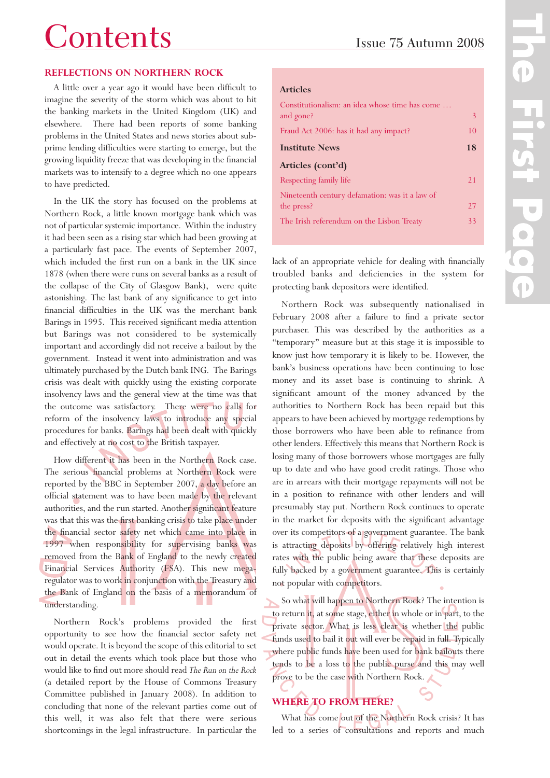# Contents Issue <sup>75</sup> Autumn <sup>2008</sup>

## **REFLECTIONS ON NORTHERN ROCK**

A little over a year ago it would have been difficult to imagine the severity of the storm which was about to hit the banking markets in the United Kingdom (UK) and elsewhere. There had been reports of some banking problems in the United States and news stories about subprime lending difficulties were starting to emerge, but the growing liquidity freeze that was developing in the financial markets was to intensify to a degree which no one appears to have predicted.

In the UK the story has focused on the problems at Northern Rock, a little known mortgage bank which was not of particular systemic importance. Within the industry it had been seen as a rising star which had been growing at a particularly fast pace. The events of September 2007, which included the first run on a bank in the UK since 1878 (when there were runs on several banks as a result of the collapse of the City of Glasgow Bank), were quite astonishing. The last bank of any significance to get into financial difficulties in the UK was the merchant bank Barings in 1995. This received significant media attention but Barings was not considered to be systemically important and accordingly did not receive a bailout by the government. Instead it went into administration and was ultimately purchased by the Dutch bank ING. The Barings crisis was dealt with quickly using the existing corporate insolvency laws and the general view at the time was that the outcome was satisfactory. There were no calls for reform of the insolvency laws to introduce any special procedures for banks. Barings had been dealt with quickly and effectively at no cost to the British taxpayer.

How different it has been in the Northern Rock case. The serious financial problems at Northern Rock were reported by the BBC in September 2007, a day before an official statement was to have been made by the relevant authorities, and the run started. Another significant feature was that this was the first banking crisis to take place under the financial sector safety net which came into place in 1997 when responsibility for supervising banks was removed from the Bank of England to the newly created Financial Services Authority (FSA). This new megaregulator was to work in conjunction with the Treasury and the Bank of England on the basis of a memorandum of understanding.

Northern Rock's problems provided the first opportunity to see how the financial sector safety net would operate. It is beyond the scope of this editorial to set out in detail the events which took place but those who would like to find out more should read *The Run on the Rock* (a detailed report by the House of Commons Treasury Committee published in January 2008). In addition to concluding that none of the relevant parties come out of this well, it was also felt that there were serious shortcomings in the legal infrastructure. In particular the

## **Articles**

| Constitutionalism: an idea whose time has come |    |
|------------------------------------------------|----|
| and gone?                                      | 3  |
| Fraud Act 2006: has it had any impact?         | 10 |
| <b>Institute News</b>                          | 18 |
| Articles (cont'd)                              |    |
| Respecting family life                         | 21 |
| Nineteenth century defamation: was it a law of |    |
| the press?                                     | 27 |
| The Irish referendum on the Lisbon Treaty      | 33 |

lack of an appropriate vehicle for dealing with financially troubled banks and deficiencies in the system for protecting bank depositors were identified.

Northern Rock was subsequently nationalised in February 2008 after a failure to find a private sector purchaser. This was described by the authorities as a "temporary" measure but at this stage it is impossible to know just how temporary it is likely to be. However, the bank's business operations have been continuing to lose money and its asset base is continuing to shrink. A significant amount of the money advanced by the authorities to Northern Rock has been repaid but this appears to have been achieved by mortgage redemptions by those borrowers who have been able to refinance from other lenders. Effectively this means that Northern Rock is losing many of those borrowers whose mortgages are fully up to date and who have good credit ratings. Those who are in arrears with their mortgage repayments will not be in a position to refinance with other lenders and will presumably stay put. Northern Rock continues to operate in the market for deposits with the significant advantage over its competitors of a government guarantee. The bank is attracting deposits by offering relatively high interest rates with the public being aware that these deposits are fully backed by a government guarantee. This is certainly not popular with competitors.

So what will happen to Northern Rock? The intention is to return it, at some stage, either in whole or in part, to the private sector. What is less clear is whether the public funds used to bail it out will ever be repaid in full. Typically where public funds have been used for bank bailouts there tends to be a loss to the public purse and this may well prove to be the case with Northern Rock.

# **WHERE TO FROM HERE?**

What has come out of the Northern Rock crisis? It has led to a series of consultations and reports and much